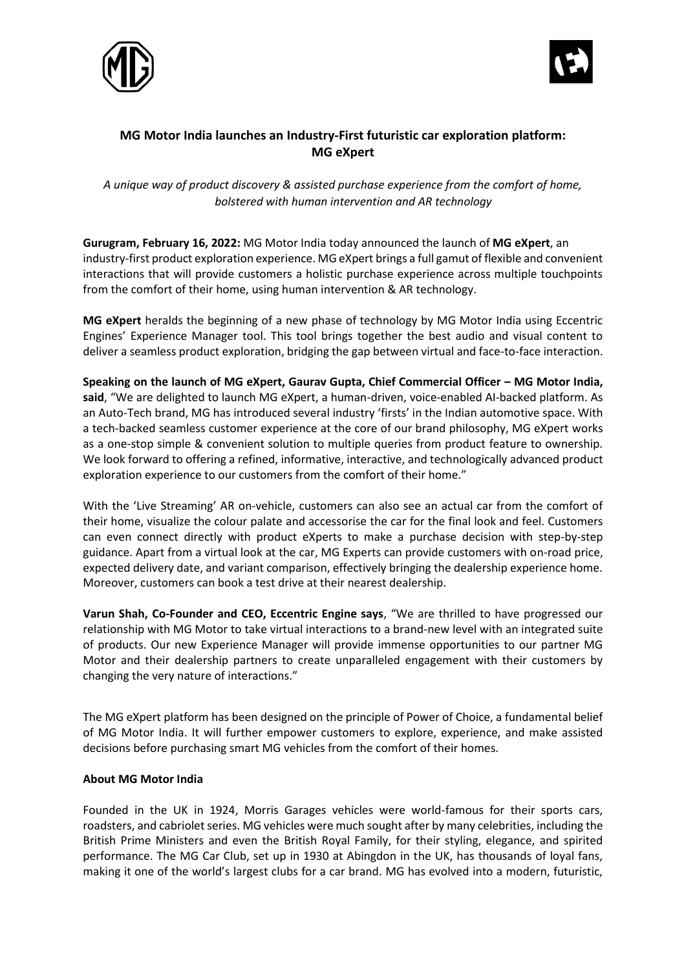



## **MG Motor India launches an Industry-First futuristic car exploration platform: MG eXpert**

*A unique way of product discovery & assisted purchase experience from the comfort of home, bolstered with human intervention and AR technology*

**Gurugram, February 16, 2022:** MG Motor India today announced the launch of **MG eXpert**, an industry-first product exploration experience. MG eXpert brings a full gamut of flexible and convenient interactions that will provide customers a holistic purchase experience across multiple touchpoints from the comfort of their home, using human intervention & AR technology.

**MG eXpert** heralds the beginning of a new phase of technology by MG Motor India using Eccentric Engines' Experience Manager tool. This tool brings together the best audio and visual content to deliver a seamless product exploration, bridging the gap between virtual and face-to-face interaction.

**Speaking on the launch of MG eXpert, Gaurav Gupta, Chief Commercial Officer – MG Motor India, said**, "We are delighted to launch MG eXpert, a human-driven, voice-enabled AI-backed platform. As an Auto-Tech brand, MG has introduced several industry 'firsts' in the Indian automotive space. With a tech-backed seamless customer experience at the core of our brand philosophy, MG eXpert works as a one-stop simple & convenient solution to multiple queries from product feature to ownership. We look forward to offering a refined, informative, interactive, and technologically advanced product exploration experience to our customers from the comfort of their home."

With the 'Live Streaming' AR on-vehicle, customers can also see an actual car from the comfort of their home, visualize the colour palate and accessorise the car for the final look and feel. Customers can even connect directly with product eXperts to make a purchase decision with step-by-step guidance. Apart from a virtual look at the car, MG Experts can provide customers with on-road price, expected delivery date, and variant comparison, effectively bringing the dealership experience home. Moreover, customers can book a test drive at their nearest dealership.

**Varun Shah, Co-Founder and CEO, Eccentric Engine says**, "We are thrilled to have progressed our relationship with MG Motor to take virtual interactions to a brand-new level with an integrated suite of products. Our new Experience Manager will provide immense opportunities to our partner MG Motor and their dealership partners to create unparalleled engagement with their customers by changing the very nature of interactions."

The MG eXpert platform has been designed on the principle of Power of Choice, a fundamental belief of MG Motor India. It will further empower customers to explore, experience, and make assisted decisions before purchasing smart MG vehicles from the comfort of their homes.

## **About MG Motor India**

Founded in the UK in 1924, Morris Garages vehicles were world-famous for their sports cars, roadsters, and cabriolet series. MG vehicles were much sought after by many celebrities, including the British Prime Ministers and even the British Royal Family, for their styling, elegance, and spirited performance. The MG Car Club, set up in 1930 at Abingdon in the UK, has thousands of loyal fans, making it one of the world's largest clubs for a car brand. MG has evolved into a modern, futuristic,